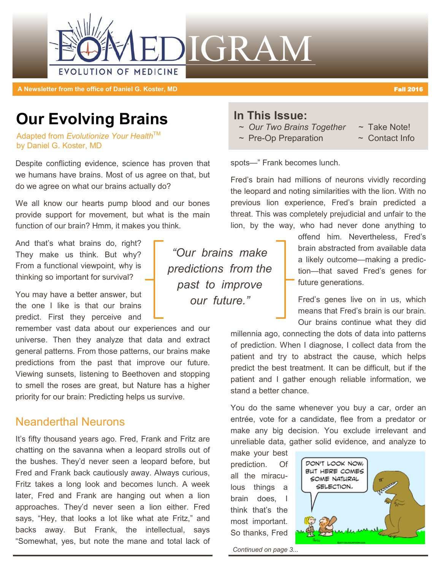

**A Newsletter from the office of Daniel G. Koster, MD** Fall 2016 **Fall 2016 Fall 2016** 

# **Our Evolving Brains**

Adapted from Evolutionize Your Health<sup>™</sup> by Daniel G. Koster, MD

Despite conflicting evidence, science has proven that we humans have brains. Most of us agree on that, but do we agree on what our brains actually do?

We all know our hearts pump blood and our bones provide support for movement, but what is the main function of our brain? Hmm, it makes you think.

And that's what brains do, right? They make us think. But why? From a functional viewpoint, why is thinking so important for survival?

You may have a better answer, but the one I like is that our brains predict. First they perceive and

remember vast data about our experiences and our universe. Then they analyze that data and extract general patterns. From those patterns, our brains make predictions from the past that improve our future. Viewing sunsets, listening to Beethoven and stopping to smell the roses are great, but Nature has a higher priority for our brain: Predicting helps us survive.

## Neanderthal Neurons

It's fifty thousand years ago. Fred, Frank and Fritz are chatting on the savanna when a leopard strolls out of the bushes. They'd never seen a leopard before, but Fred and Frank back cautiously away. Always curious, Fritz takes a long look and becomes lunch. A week later, Fred and Frank are hanging out when a lion approaches. They'd never seen a lion either. Fred says, "Hey, that looks a lot like what ate Fritz," and backs away. But Frank, the intellectual, says "Somewhat, yes, but note the mane and total lack of

*"Our brains make predictions from the past to improve our future."*

### **In This Issue:**

- *~ Our Two Brains Together ~* Take Note!
- *~* Pre-Op Preparation ~ Contact Info
- -

spots—" Frank becomes lunch.

Fred's brain had millions of neurons vividly recording the leopard and noting similarities with the lion. With no previous lion experience, Fred's brain predicted a threat. This was completely prejudicial and unfair to the lion, by the way, who had never done anything to

> offend him. Nevertheless, Fred's brain abstracted from available data a likely outcome—making a prediction—that saved Fred's genes for future generations.

> Fred's genes live on in us, which means that Fred's brain is our brain. Our brains continue what they did

millennia ago, connecting the dots of data into patterns of prediction. When I diagnose, I collect data from the patient and try to abstract the cause, which helps predict the best treatment. It can be difficult, but if the patient and I gather enough reliable information, we stand a better chance.

You do the same whenever you buy a car, order an entrée, vote for a candidate, flee from a predator or make any big decision. You exclude irrelevant and unreliable data, gather solid evidence, and analyze to

make your best prediction. Of all the miraculous things a brain does, I think that's the most important. So thanks, Fred



*Continued on page 3...*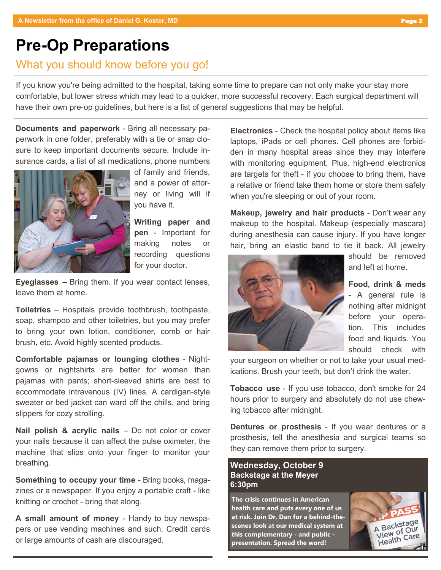# **Pre-Op Preparations**

# What you should know before you go!

If you know you're being admitted to the hospital, taking some time to prepare can not only make your stay more comfortable, but lower stress which may lead to a quicker, more successful recovery. Each surgical department will have their own pre-op guidelines, but here is a list of general suggestions that may be helpful.

**Documents and paperwork** - Bring all necessary paperwork in one folder, preferably with a tie or snap closure to keep important documents secure. Include insurance cards, a list of all medications, phone numbers



of family and friends, and a power of attorney or living will if you have it.

**Writing paper and pen** - Important for making notes or recording questions for your doctor.

**Eyeglasses** – Bring them. If you wear contact lenses, leave them at home.

**Toiletries** – Hospitals provide toothbrush, toothpaste, soap, shampoo and other toiletries, but you may prefer to bring your own lotion, conditioner, comb or hair brush, etc. Avoid highly scented products.

**Comfortable pajamas or lounging clothes** - Nightgowns or nightshirts are better for women than pajamas with pants; short-sleeved shirts are best to accommodate intravenous (IV) lines. A cardigan-style sweater or bed jacket can ward off the chills, and bring slippers for cozy strolling.

**Nail polish & acrylic nails** – Do not color or cover your nails because it can affect the pulse oximeter, the machine that slips onto your finger to monitor your breathing.

**Something to occupy your time** - Bring books, magazines or a newspaper. If you enjoy a portable craft - like knitting or crochet - bring that along.

**A small amount of money** - Handy to buy newspapers or use vending machines and such. Credit cards or large amounts of cash are discouraged.

**Electronics** - Check the hospital policy about items like laptops, iPads or cell phones. Cell phones are forbidden in many hospital areas since they may interfere with monitoring equipment. Plus, high-end electronics are targets for theft - if you choose to bring them, have a relative or friend take them home or store them safely when you're sleeping or out of your room.

**Makeup, jewelry and hair products** - Don't wear any makeup to the hospital. Makeup (especially mascara) during anesthesia can cause injury. If you have longer hair, bring an elastic band to tie it back. All jewelry



should be removed and left at home.

**Food, drink & meds** - A general rule is nothing after midnight before your operation. This includes food and liquids. You should check with

your surgeon on whether or not to take your usual medications. Brush your teeth, but don't drink the water.

**Tobacco use** - If you use tobacco, don't smoke for 24 hours prior to surgery and absolutely do not use chewing tobacco after midnight.

**Dentures or prosthesis** - If you wear dentures or a prosthesis, tell the anesthesia and surgical teams so they can remove them prior to surgery.

### **Wednesday, October 9 Backstage at the Meyer 6:30pm**

**The crisis continues in American health care and puts every one of us at risk. Join Dr. Dan for a behind-thescenes look at our medical system at this complementary - and public presentation. Spread the word!**

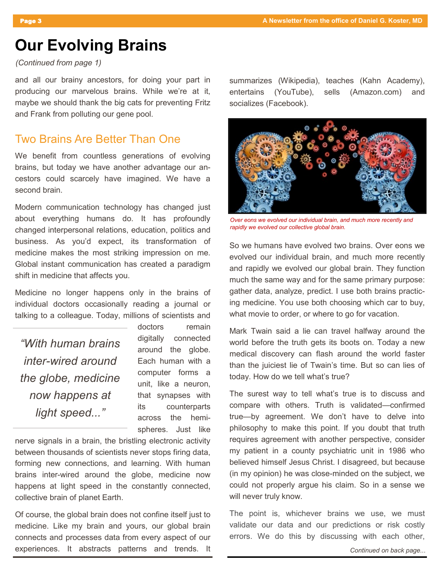# **Our Evolving Brains**

#### *(Continued from page 1)*

and all our brainy ancestors, for doing your part in producing our marvelous brains. While we're at it, maybe we should thank the big cats for preventing Fritz and Frank from polluting our gene pool.

### Two Brains Are Better Than One

We benefit from countless generations of evolving brains, but today we have another advantage our ancestors could scarcely have imagined. We have a second brain.

Modern communication technology has changed just about everything humans do. It has profoundly changed interpersonal relations, education, politics and business. As you'd expect, its transformation of medicine makes the most striking impression on me. Global instant communication has created a paradigm shift in medicine that affects you.

Medicine no longer happens only in the brains of individual doctors occasionally reading a journal or talking to a colleague. Today, millions of scientists and

*"With human brains inter-wired around the globe, medicine now happens at light speed..."*

doctors remain digitally connected around the globe. Each human with a computer forms a unit, like a neuron, that synapses with its counterparts across the hemispheres. Just like

nerve signals in a brain, the bristling electronic activity between thousands of scientists never stops firing data, forming new connections, and learning. With human brains inter-wired around the globe, medicine now happens at light speed in the constantly connected, collective brain of planet Earth.

Of course, the global brain does not confine itself just to medicine. Like my brain and yours, our global brain connects and processes data from every aspect of our experiences. It abstracts patterns and trends. It summarizes (Wikipedia), teaches (Kahn Academy), entertains (YouTube), sells (Amazon.com) and socializes (Facebook).



*Over eons we evolved our individual brain, and much more recently and rapidly we evolved our collective global brain.*

So we humans have evolved two brains. Over eons we evolved our individual brain, and much more recently and rapidly we evolved our global brain. They function much the same way and for the same primary purpose: gather data, analyze, predict. I use both brains practicing medicine. You use both choosing which car to buy, what movie to order, or where to go for vacation.

Mark Twain said a lie can travel halfway around the world before the truth gets its boots on. Today a new medical discovery can flash around the world faster than the juiciest lie of Twain's time. But so can lies of today. How do we tell what's true?

The surest way to tell what's true is to discuss and compare with others. Truth is validated—confirmed true—by agreement. We don't have to delve into philosophy to make this point. If you doubt that truth requires agreement with another perspective, consider my patient in a county psychiatric unit in 1986 who believed himself Jesus Christ. I disagreed, but because (in my opinion) he was close-minded on the subject, we could not properly argue his claim. So in a sense we will never truly know.

The point is, whichever brains we use, we must validate our data and our predictions or risk costly errors. We do this by discussing with each other,